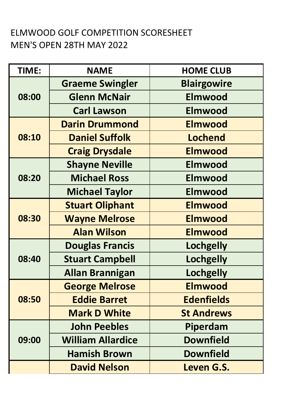## ELMWOOD GOLF COMPETITION SCORESHEET MEN'S OPEN 28TH MAY 2022

| TIME: | <b>NAME</b>              | <b>HOME CLUB</b>   |
|-------|--------------------------|--------------------|
| 08:00 | <b>Graeme Swingler</b>   | <b>Blairgowire</b> |
|       | <b>Glenn McNair</b>      | <b>Elmwood</b>     |
|       | <b>Carl Lawson</b>       | <b>Elmwood</b>     |
| 08:10 | <b>Darin Drummond</b>    | <b>Elmwood</b>     |
|       | <b>Daniel Suffolk</b>    | <b>Lochend</b>     |
|       | <b>Craig Drysdale</b>    | <b>Elmwood</b>     |
| 08:20 | <b>Shayne Neville</b>    | <b>Elmwood</b>     |
|       | <b>Michael Ross</b>      | <b>Elmwood</b>     |
|       | <b>Michael Taylor</b>    | <b>Elmwood</b>     |
| 08:30 | <b>Stuart Oliphant</b>   | <b>Elmwood</b>     |
|       | <b>Wayne Melrose</b>     | <b>Elmwood</b>     |
|       | <b>Alan Wilson</b>       | <b>Elmwood</b>     |
|       | <b>Douglas Francis</b>   | <b>Lochgelly</b>   |
| 08:40 | <b>Stuart Campbell</b>   | <b>Lochgelly</b>   |
|       | <b>Allan Brannigan</b>   | <b>Lochgelly</b>   |
|       | <b>George Melrose</b>    | <b>Elmwood</b>     |
| 08:50 | <b>Eddie Barret</b>      | <b>Edenfields</b>  |
|       | <b>Mark D White</b>      | <b>St Andrews</b>  |
|       | <b>John Peebles</b>      | Piperdam           |
| 09:00 | <b>William Allardice</b> | <b>Downfield</b>   |
|       | <b>Hamish Brown</b>      | <b>Downfield</b>   |
|       | <b>David Nelson</b>      | <b>Leven G.S.</b>  |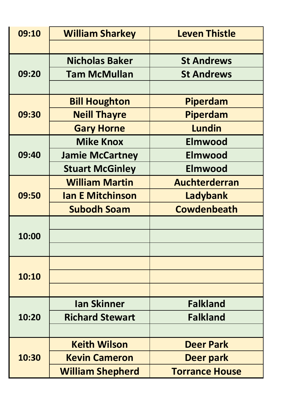| 09:10 | <b>William Sharkey</b>  | <b>Leven Thistle</b>  |
|-------|-------------------------|-----------------------|
|       |                         |                       |
| 09:20 | <b>Nicholas Baker</b>   | <b>St Andrews</b>     |
|       | <b>Tam McMullan</b>     | <b>St Andrews</b>     |
|       |                         |                       |
| 09:30 | <b>Bill Houghton</b>    | Piperdam              |
|       | <b>Neill Thayre</b>     | Piperdam              |
|       | <b>Gary Horne</b>       | <b>Lundin</b>         |
|       | <b>Mike Knox</b>        | <b>Elmwood</b>        |
| 09:40 | <b>Jamie McCartney</b>  | <b>Elmwood</b>        |
|       | <b>Stuart McGinley</b>  | <b>Elmwood</b>        |
| 09:50 | <b>William Martin</b>   | Auchterderran         |
|       | <b>Ian E Mitchinson</b> | Ladybank              |
|       | <b>Subodh Soam</b>      | <b>Cowdenbeath</b>    |
|       |                         |                       |
| 10:00 |                         |                       |
|       |                         |                       |
|       |                         |                       |
| 10:10 |                         |                       |
|       |                         |                       |
|       | <b>Ian Skinner</b>      | <b>Falkland</b>       |
| 10:20 | <b>Richard Stewart</b>  | <b>Falkland</b>       |
|       |                         |                       |
|       | <b>Keith Wilson</b>     | <b>Deer Park</b>      |
| 10:30 | <b>Kevin Cameron</b>    | Deer park             |
|       | <b>William Shepherd</b> | <b>Torrance House</b> |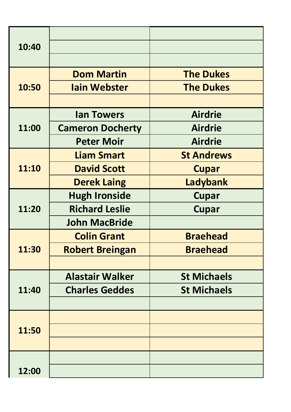| 10:40 |                         |                    |
|-------|-------------------------|--------------------|
|       |                         |                    |
| 10:50 | <b>Dom Martin</b>       | <b>The Dukes</b>   |
|       | <b>lain Webster</b>     | <b>The Dukes</b>   |
|       |                         |                    |
|       | <b>lan Towers</b>       | <b>Airdrie</b>     |
| 11:00 | <b>Cameron Docherty</b> | <b>Airdrie</b>     |
|       | <b>Peter Moir</b>       | <b>Airdrie</b>     |
|       | <b>Liam Smart</b>       | <b>St Andrews</b>  |
| 11:10 | <b>David Scott</b>      | <b>Cupar</b>       |
|       | <b>Derek Laing</b>      | Ladybank           |
|       | <b>Hugh Ironside</b>    | <b>Cupar</b>       |
| 11:20 | <b>Richard Leslie</b>   | <b>Cupar</b>       |
|       | <b>John MacBride</b>    |                    |
|       | <b>Colin Grant</b>      | <b>Braehead</b>    |
| 11:30 | <b>Robert Breingan</b>  | <b>Braehead</b>    |
|       |                         |                    |
|       | <b>Alastair Walker</b>  | <b>St Michaels</b> |
| 11:40 | <b>Charles Geddes</b>   | <b>St Michaels</b> |
|       |                         |                    |
|       |                         |                    |
| 11:50 |                         |                    |
|       |                         |                    |
|       |                         |                    |
| 12:00 |                         |                    |